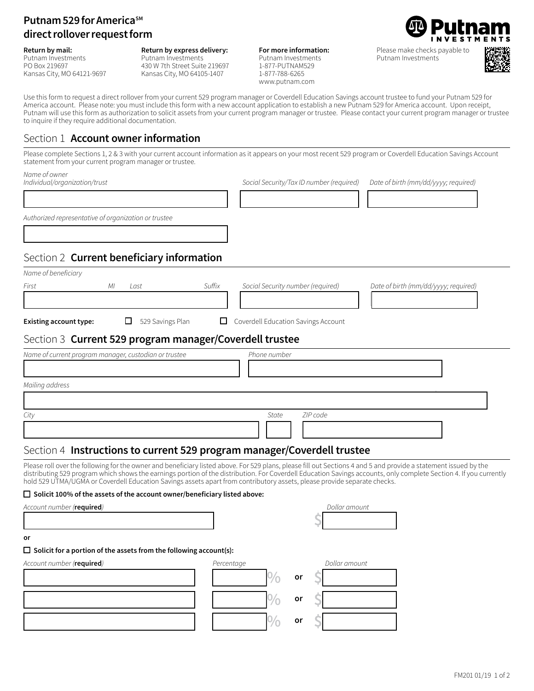# **Putnam 529 for America**<sup>SM</sup> **direct rollover request form**

#### **Return by mail:**

Putnam Investments PO Box 219697 Kansas City, MO 64121-9697 **Return by express delivery:** Putnam Investments 430 W 7th Street Suite 219697 Kansas City, MO 64105-1407

**For more information:**  Putnam Investments 1-877-PUTNAM529 1-877-788-6265 www.putnam.com



Please make checks payable to Putnam Investments



Use this form to request a direct rollover from your current 529 program manager or Coverdell Education Savings account trustee to fund your Putnam 529 for America account. Please note: you must include this form with a new account application to establish a new Putnam 529 for America account. Upon receipt, Putnam will use this form as authorization to solicit assets from your current program manager or trustee. Please contact your current program manager or trustee to inquire if they require additional documentation.

## Section 1 **Account owner information**

Please complete Sections 1, 2 & 3 with your current account information as it appears on your most recent 529 program or Coverdell Education Savings Account statement from your current program manager or trustee.

13333333333333333334 133333333334 13333333334

*Name of owner*

*Individual/organization/trust Social Security/Tax ID number (required) Date of birth (mm/dd/yyyy; required)*

*Authorized representative of organization or trustee* 

## Section 2 **Current beneficiary information**

13333333333333333334

| Name of beneficiary                                     |                  |        |                                            |                                      |  |  |
|---------------------------------------------------------|------------------|--------|--------------------------------------------|--------------------------------------|--|--|
| First                                                   | Last<br>ΜI       | Suffix | Social Security number (required)          | Date of birth (mm/dd/yyyy; required) |  |  |
|                                                         |                  |        |                                            |                                      |  |  |
| <b>Existing account type:</b>                           | 529 Savings Plan |        | $\Box$ Coverdell Education Savings Account |                                      |  |  |
| Section 3 Current 529 program manager/Coverdell trustee |                  |        |                                            |                                      |  |  |

| Name of current program manager, custodian or trustee | Phone number      |
|-------------------------------------------------------|-------------------|
|                                                       |                   |
| Mailing address                                       |                   |
|                                                       |                   |
| City                                                  | ZIP code<br>State |
|                                                       |                   |

## Section 4 **Instructions to current 529 program manager/Coverdell trustee**

Please roll over the following for the owner and beneficiary listed above. For 529 plans, please fill out Sections 4 and 5 and provide a statement issued by the distributing 529 program which shows the earnings portion of the distribution. For Coverdell Education Savings accounts, only complete Section 4. If you currently hold 529 UTMA/UGMA or Coverdell Education Savings assets apart from contributory assets, please provide separate checks.

### □ Solicit 100% of the assets of the account owner/beneficiary listed above:

*Account number (***required***) Dollar amount*

| - 30 -<br>. .<br>$\sim$                                                   |            |    |               |
|---------------------------------------------------------------------------|------------|----|---------------|
| or                                                                        |            |    |               |
| $\Box$ Solicit for a portion of the assets from the following account(s): |            |    |               |
| Account number ( <b>required</b> )                                        | Percentage |    | Dollar amount |
|                                                                           |            | or |               |
|                                                                           |            | or |               |
|                                                                           |            | or |               |